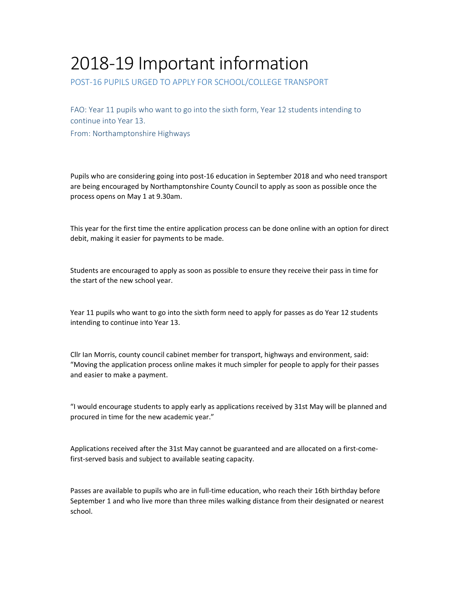## 2018‐19 Important information

POST‐16 PUPILS URGED TO APPLY FOR SCHOOL/COLLEGE TRANSPORT

FAO: Year 11 pupils who want to go into the sixth form, Year 12 students intending to continue into Year 13.

From: Northamptonshire Highways

Pupils who are considering going into post‐16 education in September 2018 and who need transport are being encouraged by Northamptonshire County Council to apply as soon as possible once the process opens on May 1 at 9.30am.

This year for the first time the entire application process can be done online with an option for direct debit, making it easier for payments to be made.

Students are encouraged to apply as soon as possible to ensure they receive their pass in time for the start of the new school year.

Year 11 pupils who want to go into the sixth form need to apply for passes as do Year 12 students intending to continue into Year 13.

Cllr Ian Morris, county council cabinet member for transport, highways and environment, said: "Moving the application process online makes it much simpler for people to apply for their passes and easier to make a payment.

"I would encourage students to apply early as applications received by 31st May will be planned and procured in time for the new academic year."

Applications received after the 31st May cannot be guaranteed and are allocated on a first-comefirst-served basis and subject to available seating capacity.

Passes are available to pupils who are in full‐time education, who reach their 16th birthday before September 1 and who live more than three miles walking distance from their designated or nearest school.